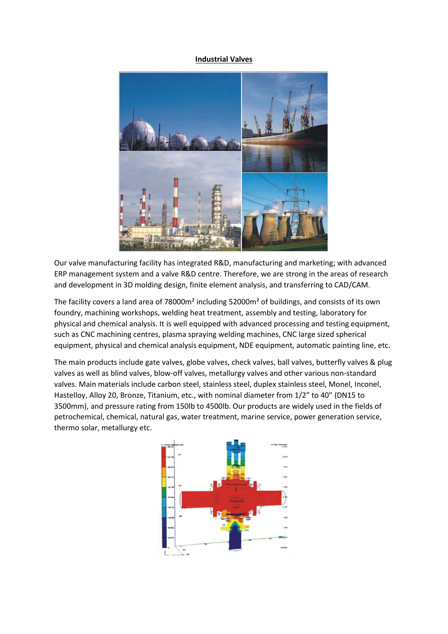### **Industrial Valves**



Our valve manufacturing facility has integrated R&D, manufacturing and marketing; with advanced ERP management system and a valve R&D centre. Therefore, we are strong in the areas of research and development in 3D molding design, finite element analysis, and transferring to CAD/CAM.

The facility covers a land area of 78000m² including 52000m² of buildings, and consists of its own foundry, machining workshops, welding heat treatment, assembly and testing, laboratory for physical and chemical analysis. It is well equipped with advanced processing and testing equipment, such as CNC machining centres, plasma spraying welding machines, CNC large sized spherical equipment, physical and chemical analysis equipment, NDE equipment, automatic painting line, etc.

The main products include gate valves, globe valves, check valves, ball valves, butterfly valves & plug valves as well as blind valves, blow-off valves, metallurgy valves and other various non-standard valves. Main materials include carbon steel, stainless steel, duplex stainless steel, Monel, Inconel, Hastelloy, Alloy 20, Bronze, Titanium, etc., with nominal diameter from 1/2" to 40" (DN15 to 3500mm), and pressure rating from 150lb to 4500lb. Our products are widely used in the fields of petrochemical, chemical, natural gas, water treatment, marine service, power generation service, thermo solar, metallurgy etc.

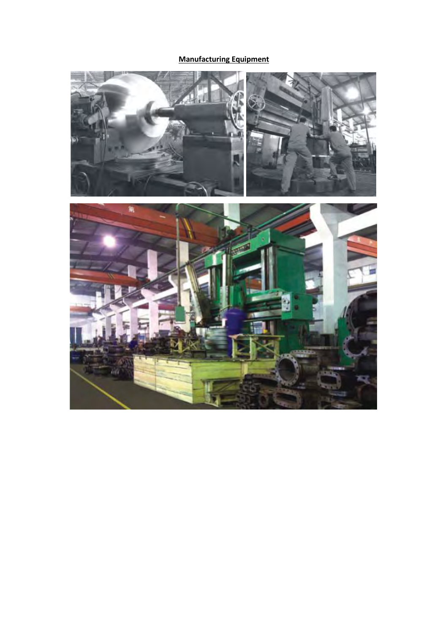# **Manufacturing Equipment**

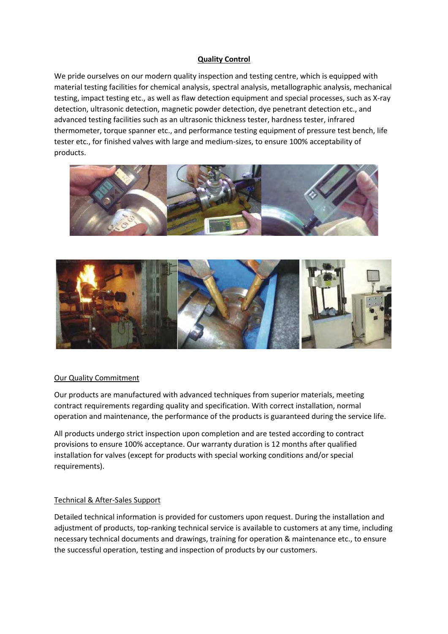# **Quality Control**

We pride ourselves on our modern quality inspection and testing centre, which is equipped with material testing facilities for chemical analysis, spectral analysis, metallographic analysis, mechanical testing, impact testing etc., as well as flaw detection equipment and special processes, such as X-ray detection, ultrasonic detection, magnetic powder detection, dye penetrant detection etc., and advanced testing facilities such as an ultrasonic thickness tester, hardness tester, infrared thermometer, torque spanner etc., and performance testing equipment of pressure test bench, life tester etc., for finished valves with large and medium-sizes, to ensure 100% acceptability of products.





# Our Quality Commitment

Our products are manufactured with advanced techniques from superior materials, meeting contract requirements regarding quality and specification. With correct installation, normal operation and maintenance, the performance of the products is guaranteed during the service life.

All products undergo strict inspection upon completion and are tested according to contract provisions to ensure 100% acceptance. Our warranty duration is 12 months after qualified installation for valves (except for products with special working conditions and/or special requirements).

# Technical & After-Sales Support

Detailed technical information is provided for customers upon request. During the installation and adjustment of products, top-ranking technical service is available to customers at any time, including necessary technical documents and drawings, training for operation & maintenance etc., to ensure the successful operation, testing and inspection of products by our customers.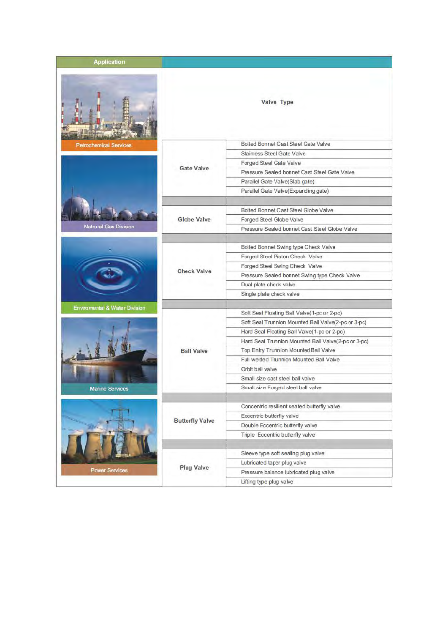| <b>Application</b>            |                        |                                                     |
|-------------------------------|------------------------|-----------------------------------------------------|
|                               |                        | Valve Type                                          |
| <b>Petrochemical Services</b> |                        | Bolted Bonnet Cast Steel Gate Valve                 |
|                               |                        | Stainless Steel Gate Valve                          |
|                               |                        | Forged Steel Gate Valve                             |
|                               | <b>Gate Valve</b>      | Pressure Sealed bonnet Cast Steel Gate Valve        |
|                               |                        | Parallel Gate Valve(Slab gate)                      |
|                               |                        | Parallel Gate Valve(Expanding gate)                 |
|                               |                        |                                                     |
|                               |                        | Bolted Bonnet Cast Steel Globe Valve                |
|                               | <b>Globe Valve</b>     | Forged Steel Globe Valve                            |
| <b>Natrural Gas Division</b>  |                        | Pressure Sealed bonnet Cast Steel Globe Valve       |
|                               |                        |                                                     |
|                               |                        | Bolted Bonnet Swing type Check Valve                |
|                               |                        | Forged Steel Piston Check Valve                     |
|                               |                        | Forged Steel Swing Check Valve                      |
|                               | <b>Check Valve</b>     | Pressure Sealed bonnet Swing type Check Valve       |
|                               |                        | Dual plate check valve                              |
|                               |                        | Single plate check valve                            |
|                               |                        |                                                     |
| Enviromental & Water Division |                        | Soft Seal Floating Ball Valve(1-pc or 2-pc)         |
|                               |                        | Soft Seal Trunnion Mounted Ball Valve(2-pc or 3-pc) |
|                               |                        | Hard Seal Floating Ball Valve(1-pc or 2-pc)         |
|                               |                        | Hard Seal Trunnion Mounted Ball Valve(2-pc or 3-pc) |
|                               | <b>Ball Valve</b>      | Top Entry Trunnion Mounted Ball Valve               |
|                               |                        | Full welded Trunnion Mounted Ball Valve             |
|                               |                        | Orbit ball valve                                    |
|                               |                        | Small size cast steel ball valve                    |
| <b>Marine Services</b>        |                        | Small size Forged steel ball valve                  |
|                               |                        |                                                     |
|                               |                        | Concentric resilient seated butterfly valve         |
|                               |                        | Eccentric butterfly valve                           |
|                               | <b>Butterfly Valve</b> | Double Eccentric butterfly valve                    |
|                               |                        | Triple Eccentric butterfly valve                    |
|                               |                        |                                                     |
|                               |                        | Sleeve type soft sealing plug valve                 |
|                               |                        | Lubricated taper plug valve                         |
| <b>Power Services</b>         | <b>Plug Valve</b>      | Pressure balance lubricated plug valve              |
|                               |                        | Lifting type plug valve                             |
|                               |                        |                                                     |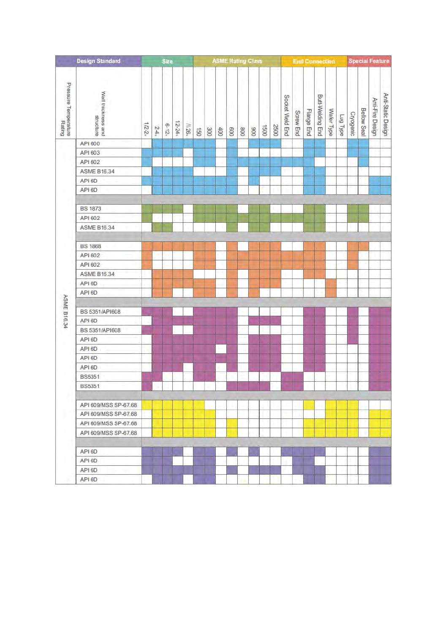|                                              | <b>Design Standard</b> |         |                 | Size     |           |                  |     |     | <b>ASME Rating Class</b> |     |     |     |      |      |                 | <b>End Connection</b> |            |                         | <b>Special Feature</b> |                 |           |                    |                  |                    |
|----------------------------------------------|------------------------|---------|-----------------|----------|-----------|------------------|-----|-----|--------------------------|-----|-----|-----|------|------|-----------------|-----------------------|------------|-------------------------|------------------------|-----------------|-----------|--------------------|------------------|--------------------|
| Pressure Temperature<br>Pressure Temperaturg | Wall thickness and     |         |                 |          |           |                  |     |     |                          |     |     |     |      |      | Socket Weld End |                       |            | <b>Butt-Welding End</b> |                        |                 |           | <b>Bellow Seal</b> | Anti-Fire Design | Anti-Static Design |
|                                              | structure              | $1/2-2$ | 24 <sub>5</sub> | $6 - 12$ | $12 - 24$ | $\mathbf{M26}^*$ | 150 | 300 | 400                      | 009 | 008 | 006 | 1500 | 2500 |                 | <b>Screw End</b>      | Flange End |                         | Wafer Type             | <b>Lug Type</b> | Cryogenic |                    |                  |                    |
|                                              | API 600                |         |                 |          |           |                  |     |     |                          |     |     |     |      |      |                 |                       |            |                         |                        |                 |           |                    |                  |                    |
|                                              | API 603                |         |                 |          |           |                  |     |     |                          |     |     |     |      |      |                 |                       |            |                         |                        |                 |           |                    |                  |                    |
|                                              | API 602                |         |                 |          |           |                  |     |     |                          |     |     |     |      |      |                 |                       |            |                         |                        |                 |           |                    |                  |                    |
|                                              | <b>ASME B16.34</b>     |         |                 |          |           |                  |     |     |                          |     |     |     |      |      |                 |                       |            |                         |                        |                 |           |                    |                  |                    |
|                                              | API 6D                 |         |                 |          |           |                  |     |     |                          |     |     |     |      |      |                 |                       |            |                         |                        |                 |           |                    |                  |                    |
|                                              | API 6D                 |         |                 |          |           |                  |     |     |                          |     |     |     |      |      |                 |                       |            |                         |                        |                 |           |                    |                  |                    |
|                                              | <b>BS 1873</b>         |         |                 |          |           |                  |     |     |                          |     |     |     |      |      |                 |                       |            |                         |                        |                 |           |                    |                  |                    |
|                                              | API 602                |         |                 |          |           |                  |     |     |                          |     |     |     |      |      |                 |                       |            |                         |                        |                 |           |                    |                  |                    |
|                                              | <b>ASME B16.34</b>     |         |                 |          |           |                  |     |     |                          |     |     |     |      |      |                 |                       |            |                         |                        |                 |           |                    |                  |                    |
|                                              | <b>BS 1868</b>         |         |                 |          |           |                  |     |     |                          |     |     |     |      |      |                 |                       |            |                         |                        |                 |           |                    |                  |                    |
|                                              | API 602                |         |                 |          |           |                  |     |     |                          |     |     |     |      |      |                 |                       |            |                         |                        |                 |           |                    |                  |                    |
|                                              | API 602                |         |                 |          |           |                  |     |     |                          |     |     |     |      |      |                 |                       |            |                         |                        |                 |           |                    |                  |                    |
|                                              | <b>ASME B16.34</b>     |         |                 |          |           |                  |     |     |                          |     |     |     |      |      |                 |                       |            |                         |                        |                 |           |                    |                  |                    |
|                                              | API 6D                 |         |                 |          |           |                  |     |     |                          |     |     |     |      |      |                 |                       |            |                         |                        |                 |           |                    |                  |                    |
|                                              | API 6D                 |         |                 |          |           |                  |     |     |                          |     |     |     |      |      |                 |                       |            |                         |                        |                 |           |                    |                  |                    |
| <b>ASME B16.34</b>                           | BS 5351/API608         |         |                 |          |           |                  |     |     |                          |     |     |     |      |      |                 |                       |            |                         |                        |                 |           |                    |                  |                    |
|                                              | API 6D                 |         |                 |          |           |                  |     |     |                          |     |     |     |      |      |                 |                       |            |                         |                        |                 |           |                    |                  |                    |
|                                              | BS 5351/API608         |         |                 |          |           |                  |     |     |                          |     |     |     |      |      |                 |                       |            |                         |                        |                 |           |                    |                  |                    |
|                                              | API 6D                 |         |                 |          |           |                  |     |     |                          |     |     |     |      |      |                 |                       |            |                         |                        |                 |           |                    |                  |                    |
|                                              | API 6D                 |         |                 |          |           |                  |     |     |                          |     |     |     |      |      |                 |                       |            |                         |                        |                 |           |                    |                  |                    |
|                                              | API 6D                 |         |                 |          |           |                  |     |     |                          |     |     |     |      |      |                 |                       |            |                         |                        |                 |           |                    |                  |                    |
|                                              | API 6D                 |         |                 |          |           |                  |     |     |                          |     |     |     |      |      |                 |                       |            |                         |                        |                 |           |                    |                  |                    |
|                                              | <b>BS5351</b>          |         |                 |          |           |                  |     |     |                          |     |     |     |      |      |                 |                       |            |                         |                        |                 |           |                    |                  |                    |
|                                              | <b>BS5351</b>          |         |                 |          |           |                  |     |     |                          |     |     |     |      |      |                 |                       |            |                         |                        |                 |           |                    |                  |                    |
|                                              | API 609/MSS SP-67.68   |         |                 |          |           |                  |     |     |                          |     |     |     |      |      |                 |                       |            |                         |                        |                 |           |                    |                  |                    |
|                                              | API 609/MSS SP-67.68   |         |                 |          |           |                  |     |     |                          |     |     |     |      |      |                 |                       |            |                         |                        |                 |           |                    |                  |                    |
|                                              | API 609/MSS SP-67.68   |         |                 |          |           |                  |     |     |                          |     |     |     |      |      |                 |                       |            |                         |                        |                 |           |                    |                  |                    |
|                                              | API 609/MSS SP-67.68   |         |                 |          |           |                  |     |     |                          |     |     |     |      |      |                 |                       |            |                         |                        |                 |           |                    |                  |                    |
|                                              | API 6D                 |         |                 |          |           |                  |     |     |                          |     |     |     |      |      |                 |                       |            |                         |                        |                 |           |                    |                  |                    |
|                                              | API 6D                 |         |                 |          |           |                  |     |     |                          |     |     |     |      |      |                 |                       |            |                         |                        |                 |           |                    |                  |                    |
|                                              | API 6D                 |         |                 |          |           |                  |     |     |                          |     |     |     |      |      |                 |                       |            |                         |                        |                 |           |                    |                  |                    |
|                                              | API 6D                 |         |                 |          |           |                  |     |     |                          |     |     |     |      |      |                 |                       |            |                         |                        |                 |           |                    |                  |                    |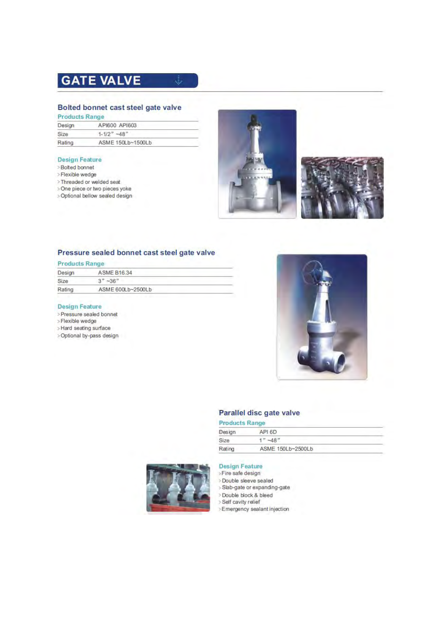# **GATE VALVE**

# Bolted bonnet cast steel gate valve

ŵ

**Products Range** 

| Design | API600 API603     |  |  |  |  |  |
|--------|-------------------|--|--|--|--|--|
| Size   | $1 - 1/2$ " ~48"  |  |  |  |  |  |
| Rating | ASME 150Lb~1500Lb |  |  |  |  |  |

#### **Design Feature**

- >Bolted bonnet
- >Flexible wedge
- >Threaded or welded seat
- >One piece or two pieces yoke
- > Optional bellow sealed design





# Pressure sealed bonnet cast steel gate valve

#### **Products Range**

| Design | ASME B16.34       |  |
|--------|-------------------|--|
| Size   | $3" - 36"$        |  |
| Rating | ASME 600Lb~2500Lb |  |

#### **Design Feature**

>Pressure sealed bonnet

- >Flexible wedge
- >Hard seating surface
- >Optional by-pass design



### Parallel disc gate valve

### **Products Range**

| Design | API 6D            |  |
|--------|-------------------|--|
| Size   | $" -48"$          |  |
| Rating | ASME 150Lb~2500Lb |  |



- >Fire safe design
- >Double sleeve sealed
- > Slab-gate or expanding-gate
- >Double block & bleed
- > Self cavity relief
- >Emergency sealant injection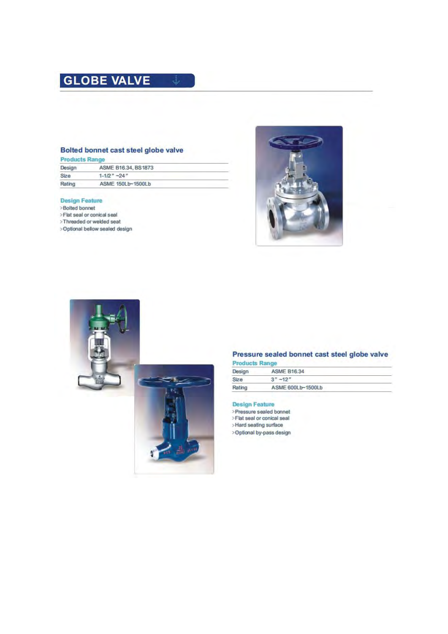# **GLOBE VALVE**

# Bolted bonnet cast steel globe valve

| <b>Products Range</b> |  |  |
|-----------------------|--|--|
|                       |  |  |
|                       |  |  |

| Design | ASME B16.34, BS1873 |  |
|--------|---------------------|--|
| Size   | $1 - 1/2'' - 24''$  |  |
| Rating | ASME 150Lb~1500Lb   |  |

#### **Design Feature**

- >Bolted bonnet
- >Flat seal or conical seal
- >Threaded or welded seat
- >Optional bellow sealed design





# Pressure sealed bonnet cast steel globe valve

|  | Products Range |  |  |  |
|--|----------------|--|--|--|
|  |                |  |  |  |
|  |                |  |  |  |
|  |                |  |  |  |

| Design | <b>ASME B16.34</b> |  |
|--------|--------------------|--|
| Size   | $3'' - 12''$       |  |
| Rating | ASME 600Lb~1500Lb  |  |

# **Design Feature**

>Pressure sealed bonnet<br>>Flat seal or conical seal

>Hard seating surface

>Optional by-pass design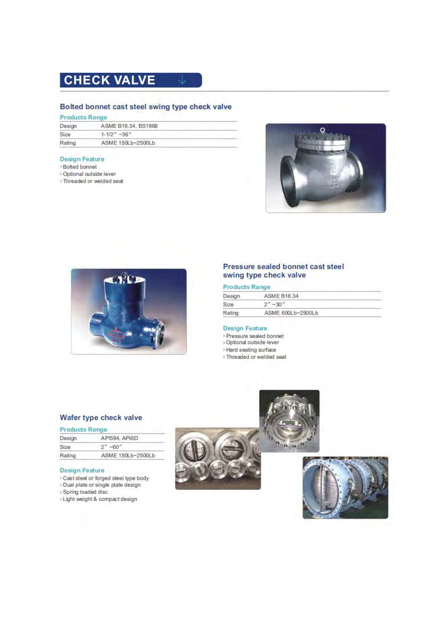# **CHECK VALVE**

# Bolted bonnet cast steel swing type check valve

d.

| <b>Products Range</b> |  |  |  |
|-----------------------|--|--|--|
|                       |  |  |  |

| Design | ASME B16.34, BS1868 |  |
|--------|---------------------|--|
| Size   | $1 - 1/2$ $-36$ $"$ |  |
| Rating | ASME 150Lb~2500Lb   |  |

### **Design Feature**

- >Bolted bonnet
- > Optional outside lever
- >Threaded or welded seat





# Pressure sealed bonnet cast steel swing type check valve

# **Products Range**

| Design | <b>ASME B16.34</b>        |  |  |  |  |
|--------|---------------------------|--|--|--|--|
| Size   | $2^{n}$ ~ 30 <sup>n</sup> |  |  |  |  |
| Rating | ASME 600Lb~2500Lb         |  |  |  |  |
|        |                           |  |  |  |  |

 $\overline{\mathbf{a}}$   $\overline{\mathbf{a}}$ 

#### **Design Feature**

- > Pressure sealed bonnet
- > Optional outside lever
- > Hard seating surface
- > Threaded or welded seat

# Wafer type check valve

#### **Products Range**

| API594, API6D<br>Design |                   |
|-------------------------|-------------------|
| Size                    | $2" - 60"$        |
| Rating                  | ASME 150Lb~2500Lb |
|                         |                   |

- > Cast steel or forged steel type body
- > Dual plate or single plate design
- > Spring loaded disc
- >Light weight & compact design



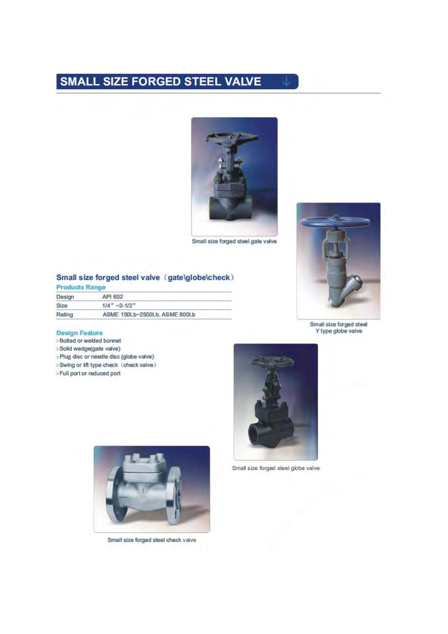# **SMALL SIZE FORGED STEEL VALVE**



si.

Small size forged steel gate valve

#### Small size forged steel valve (gate\globe\check) **Products Range**

| Design                  | API 602                       |  |
|-------------------------|-------------------------------|--|
| $1/4$ " ~2-1/2"<br>Size |                               |  |
| Rating                  | ASME 150Lb~2500Lb, ASME 800Lb |  |

- >Bolted or welded bonnet
- >Solid wedge(gate valve)
- >Plug disc or needle disc (globe valve)
- >Swing or lift type check (check valve)
- > Full port or reduced port



Small size forged steel globe valve



Small size forged steel Y type globe valve



Small size forged steel check valve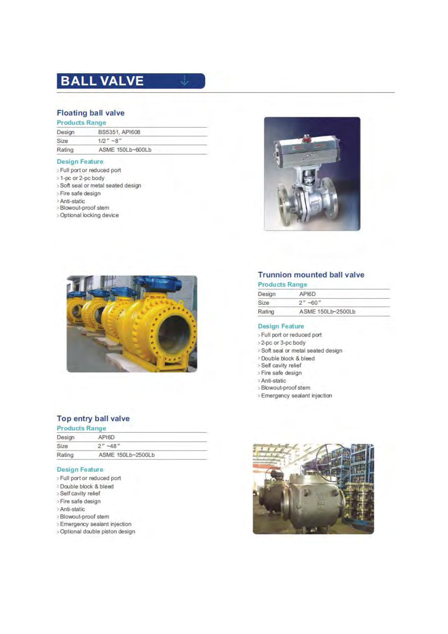# **BALL VALVE**

# **Floating ball valve**

## **Products Range**

| Design | BS5351, API608   |  |
|--------|------------------|--|
| Size   | $1/2" - 8"$      |  |
| Rating | ASME 150Lb~600Lb |  |
|        |                  |  |

J.

### **Design Feature**

- >Full port or reduced port
- >1-pc or 2-pc body
- > Soft seal or metal seated design
- >Fire safe design
- > Anti-static
- >Blowout-proof stem
- > Optional locking device





# Top entry ball valve

| <b>Products Range</b> |                   |  |
|-----------------------|-------------------|--|
| Design                | API6D             |  |
| Size                  | $2" -48"$         |  |
| Rating                | ASME 150Lb~2500Lb |  |

#### **Design Feature**

- > Full port or reduced port
- >Double block & bleed
- >Self cavity relief
- >Fire safe design
- >Anti-static
- >Blowout-proof stem
- > Emergency sealant injection
- > Optional double piston design

# **Trunnion mounted ball valve**

| <b>Products Range</b> |                   |  |
|-----------------------|-------------------|--|
| Design                | API6D             |  |
| Size                  | $2" - 60"$        |  |
| Rating                | ASME 150Lb~2500Lb |  |

- > Full port or reduced port
- >2-pc or 3-pc body
- >Soft seal or metal seated design
- > Double block & bleed
- >Self cavity relief
- > Fire safe design
- > Anti-static
- >Blowout-proof stem
- > Emergency sealant injection

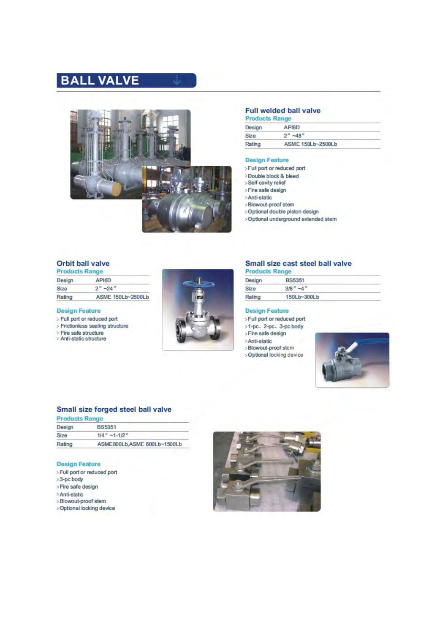# **BALL VALVE**



رتي

# Full welded ball valve

| <b>Products Range</b>       |                  |  |
|-----------------------------|------------------|--|
| Design                      | API6D            |  |
| Size                        | $2^{n} - 48^{n}$ |  |
| ASME 150Lb~2500Lb<br>Rating |                  |  |

#### **Design Feature**

- >Full port or reduced port
- >Double block & bleed
- >Self cavity relief
- >Fire safe design
- >Anti-static
- >Blowout-proof stem
- >Optional double piston design
- >Optional underground extended stem

# Orbit ball valve

| <b>Products Range</b> |                   |  |
|-----------------------|-------------------|--|
| Design                | API6D             |  |
| Size                  | $2" - 24"$        |  |
| Rating                | ASME 150Lb~2500Lb |  |

#### **Design Feature**

- > Full port or reduced port
- > Frictionless sealing structure
- > Fire safe structure<br>> Anti-static structure
- 



# Small size cast steel ball valve

#### ÷ ducts Day

| Design | <b>BS5351</b>     |  |
|--------|-------------------|--|
| Size   | $-d$ <sup>n</sup> |  |
| Rating | 150Lb~300Lb       |  |
|        |                   |  |

#### **Design Feature**

- >Full port or reduced port
- >1-pc, 2-pc, 3-pc body<br>>Fire safe design
- 
- >Anti-static
- >Blowout-proof stem
- >Optional locking device



# Small size forged steel ball valve

| <b>Products Range</b> |                             |
|-----------------------|-----------------------------|
| Design                | <b>BS5351</b>               |
| Size                  | $1/4'' - 1 - 1/2''$         |
| Rating                | ASME800Lb.ASME 600Lb~1500Lb |
|                       |                             |

- >Full port or reduced port
- >3-pc body
- >Fire safe design
- >Anti-static
- >Blowout-proof stem
- > Optional locking device

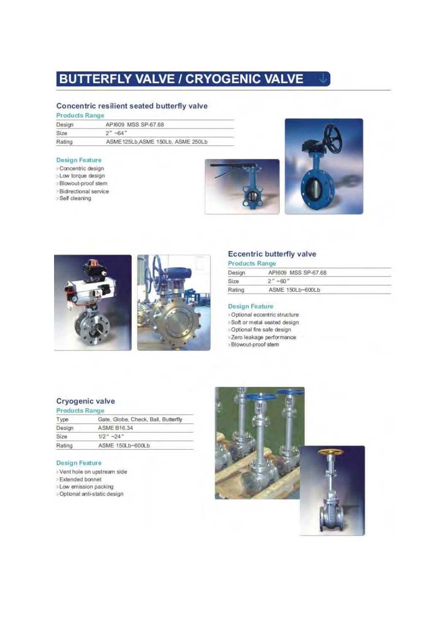# **BUTTERFLY VALVE / CRYOGENIC VALVE**

# Concentric resilient seated butterfly valve

### **Products Range**

| Design      | API609 MSS SP-67.68               |
|-------------|-----------------------------------|
| <b>Size</b> | $2" -64"$                         |
| Rating      | ASME125Lb, ASME 150Lb, ASME 250Lb |
|             |                                   |

#### **Design Feature**

- > Concentric design
- >Low torque design
- >Blowout-proof stem
- >Bidirectional service
- >Self cleaning







# **Eccentric butterfly valve**

### **Products Range**

| Design | API609 MSS SP-67.68 |  |
|--------|---------------------|--|
| Size   | $2" - 60"$          |  |
| Rating | ASME 150Lb~600Lb    |  |

#### **Design Feature**

- > Optional eccentric structure
- >Soft or metal seated design
- >Optional fire safe design
- >Zero leakage performance >Blowout-proof stem
- 

# **Cryogenic valve**

| <b>Products Kange</b> |                                     |
|-----------------------|-------------------------------------|
| Type                  | Gate, Globe, Check, Ball, Butterfly |
| Design                | <b>ASME B16.34</b>                  |
| Size                  | $1/2" - 24"$                        |
| Rating                | ASME 150Lb~600Lb                    |
|                       |                                     |

- >Vent hole on upstream side
- > Extended bonnet
- >Low emission packing
- > Optional anti-static design